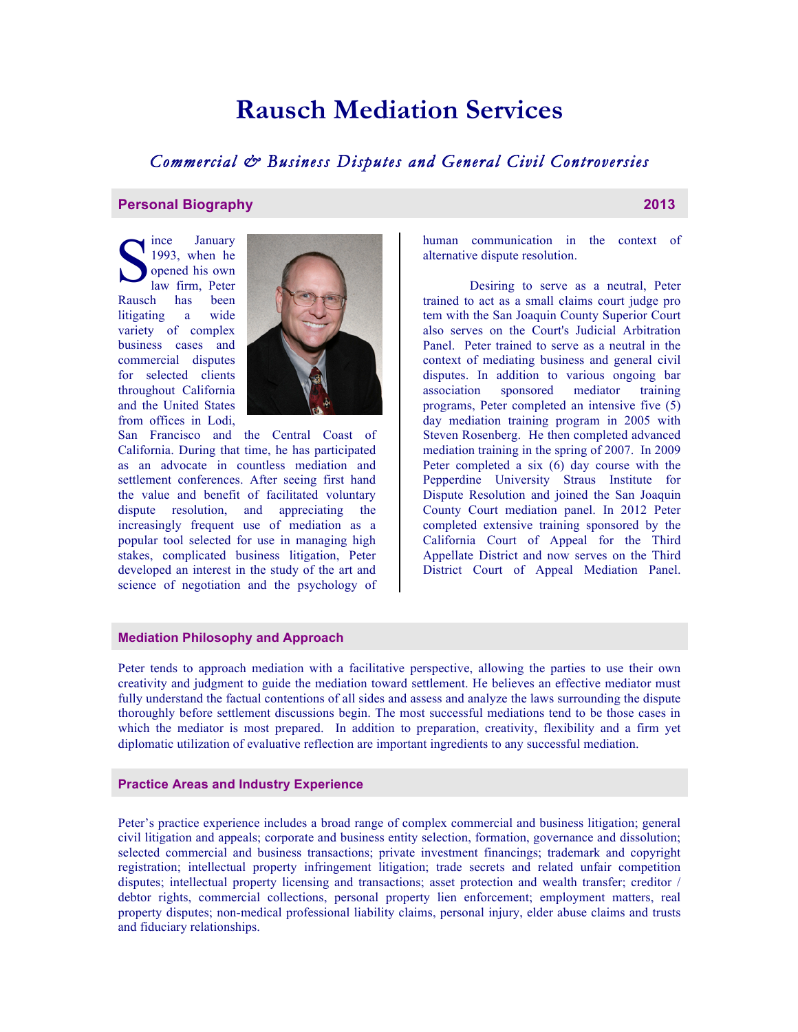# **Rausch Mediation Services**

# *Commercial & Business Disputes and General Civil Controversies*

## **Personal Biography 2013**

ince January 1993, when he opened his own law firm, Peter Rausch has been litigating a wide variety of complex business cases and commercial disputes for selected clients throughout California and the United States from offices in Lodi, S 199



San Francisco and the Central Coast of California. During that time, he has participated as an advocate in countless mediation and settlement conferences. After seeing first hand the value and benefit of facilitated voluntary dispute resolution, and appreciating the increasingly frequent use of mediation as a popular tool selected for use in managing high stakes, complicated business litigation, Peter developed an interest in the study of the art and science of negotiation and the psychology of human communication in the context of alternative dispute resolution.

Desiring to serve as a neutral, Peter trained to act as a small claims court judge pro tem with the San Joaquin County Superior Court also serves on the Court's Judicial Arbitration Panel. Peter trained to serve as a neutral in the context of mediating business and general civil disputes. In addition to various ongoing bar association sponsored mediator training programs, Peter completed an intensive five (5) day mediation training program in 2005 with Steven Rosenberg. He then completed advanced mediation training in the spring of 2007. In 2009 Peter completed a six (6) day course with the Pepperdine University Straus Institute for Dispute Resolution and joined the San Joaquin County Court mediation panel. In 2012 Peter completed extensive training sponsored by the California Court of Appeal for the Third Appellate District and now serves on the Third District Court of Appeal Mediation Panel.

## **Mediation Philosophy and Approach**

Peter tends to approach mediation with a facilitative perspective, allowing the parties to use their own creativity and judgment to guide the mediation toward settlement. He believes an effective mediator must fully understand the factual contentions of all sides and assess and analyze the laws surrounding the dispute thoroughly before settlement discussions begin. The most successful mediations tend to be those cases in which the mediator is most prepared. In addition to preparation, creativity, flexibility and a firm yet diplomatic utilization of evaluative reflection are important ingredients to any successful mediation.

#### **Practice Areas and Industry Experience**

Peter's practice experience includes a broad range of complex commercial and business litigation; general civil litigation and appeals; corporate and business entity selection, formation, governance and dissolution; selected commercial and business transactions; private investment financings; trademark and copyright registration; intellectual property infringement litigation; trade secrets and related unfair competition disputes; intellectual property licensing and transactions; asset protection and wealth transfer; creditor / debtor rights, commercial collections, personal property lien enforcement; employment matters, real property disputes; non-medical professional liability claims, personal injury, elder abuse claims and trusts and fiduciary relationships.